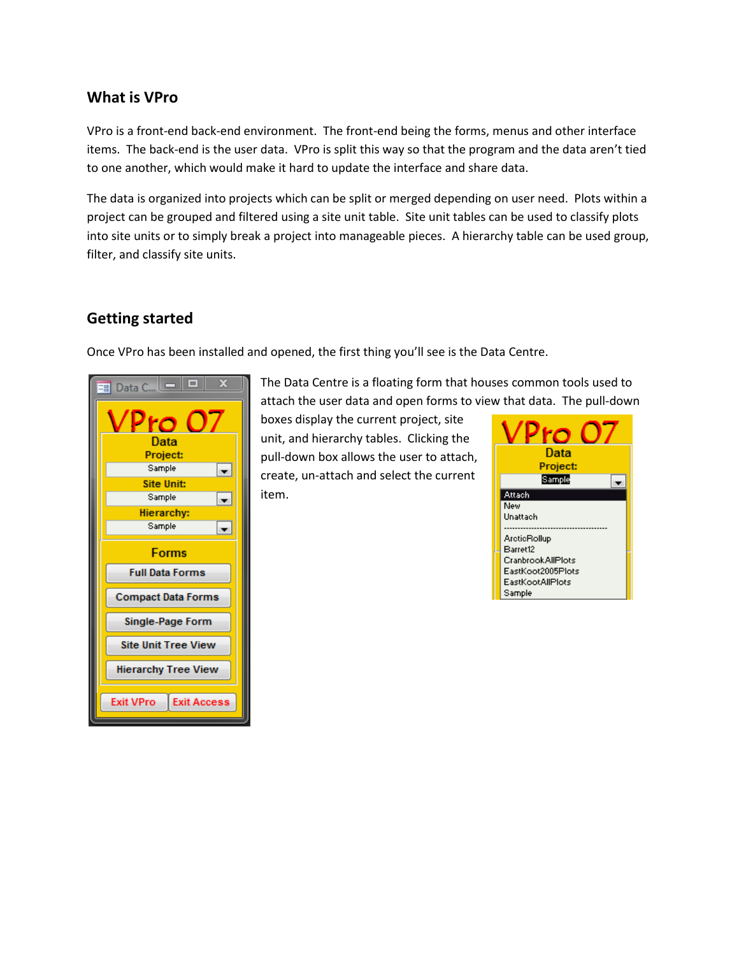## **What is VPro**

VPro is a front-end back-end environment. The front-end being the forms, menus and other interface items. The back-end is the user data. VPro is split this way so that the program and the data aren't tied to one another, which would make it hard to update the interface and share data.

The data is organized into projects which can be split or merged depending on user need. Plots within a project can be grouped and filtered using a site unit table. Site unit tables can be used to classify plots into site units or to simply break a project into manageable pieces. A hierarchy table can be used group, filter, and classify site units.

## **Getting started**

Once VPro has been installed and opened, the first thing you'll see is the Data Centre.



The Data Centre is a floating form that houses common tools used to attach the user data and open forms to view that data. The pull-down

boxes display the current project, site unit, and hierarchy tables. Clicking the pull-down box allows the user to attach, create, un-attach and select the current item.